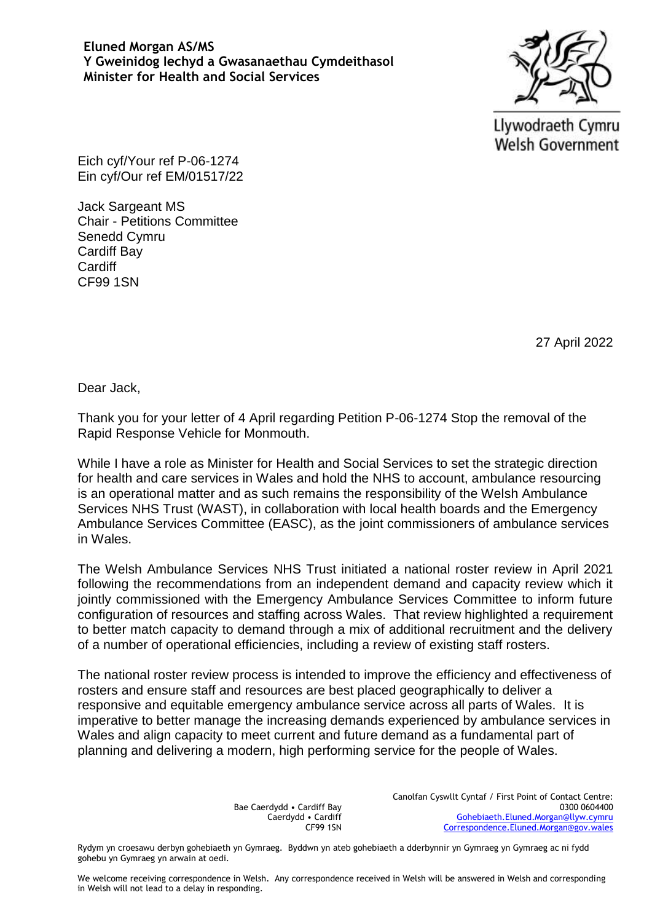## **Eluned Morgan AS/MS Y Gweinidog Iechyd a Gwasanaethau Cymdeithasol Minister for Health and Social Services**



Llywodraeth Cymru **Welsh Government** 

Eich cyf/Your ref P-06-1274 Ein cyf/Our ref EM/01517/22

Jack Sargeant MS Chair - Petitions Committee Senedd Cymru Cardiff Bay **Cardiff** CF99 1SN

27 April 2022

Dear Jack,

Thank you for your letter of 4 April regarding Petition P-06-1274 Stop the removal of the Rapid Response Vehicle for Monmouth.

While I have a role as Minister for Health and Social Services to set the strategic direction for health and care services in Wales and hold the NHS to account, ambulance resourcing is an operational matter and as such remains the responsibility of the Welsh Ambulance Services NHS Trust (WAST), in collaboration with local health boards and the Emergency Ambulance Services Committee (EASC), as the joint commissioners of ambulance services in Wales.

The Welsh Ambulance Services NHS Trust initiated a national roster review in April 2021 following the recommendations from an independent demand and capacity review which it jointly commissioned with the Emergency Ambulance Services Committee to inform future configuration of resources and staffing across Wales. That review highlighted a requirement to better match capacity to demand through a mix of additional recruitment and the delivery of a number of operational efficiencies, including a review of existing staff rosters.

The national roster review process is intended to improve the efficiency and effectiveness of rosters and ensure staff and resources are best placed geographically to deliver a responsive and equitable emergency ambulance service across all parts of Wales. It is imperative to better manage the increasing demands experienced by ambulance services in Wales and align capacity to meet current and future demand as a fundamental part of planning and delivering a modern, high performing service for the people of Wales.

> Bae Caerdydd • Cardiff Bay Caerdydd • Cardiff CF99 1SN

Canolfan Cyswllt Cyntaf / First Point of Contact Centre: 0300 0604400 [Gohebiaeth.Eluned.Morgan@llyw.cymru](mailto:Gohebiaeth.Eluned.Morgan@llyw.cymru) [Correspondence.Eluned.Morgan@gov.wales](mailto:Correspondence.Eluned.Morgan@gov.wales)

Rydym yn croesawu derbyn gohebiaeth yn Gymraeg. Byddwn yn ateb gohebiaeth a dderbynnir yn Gymraeg yn Gymraeg ac ni fydd gohebu yn Gymraeg yn arwain at oedi.

We welcome receiving correspondence in Welsh. Any correspondence received in Welsh will be answered in Welsh and corresponding in Welsh will not lead to a delay in responding.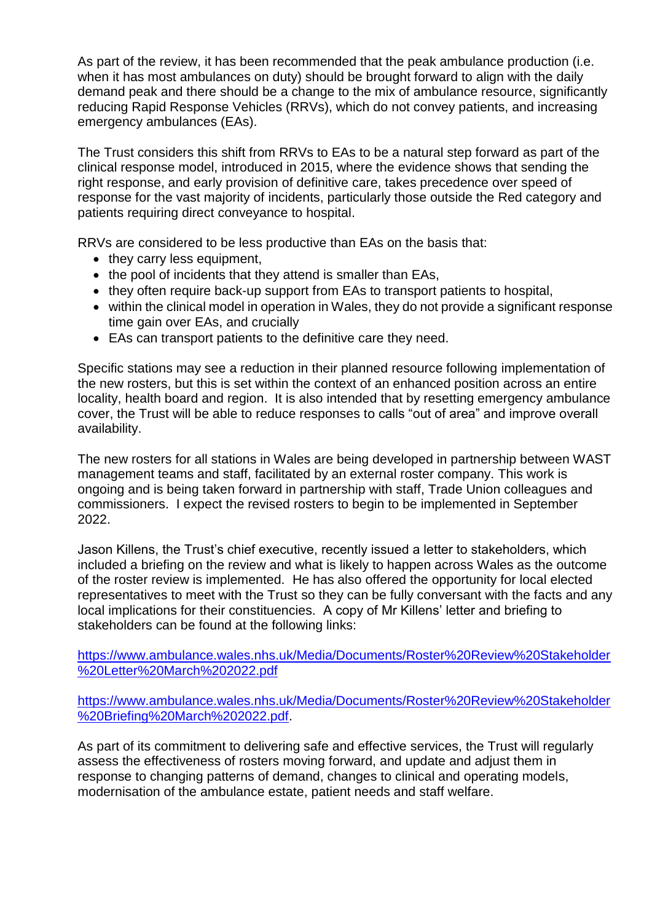As part of the review, it has been recommended that the peak ambulance production (i.e. when it has most ambulances on duty) should be brought forward to align with the daily demand peak and there should be a change to the mix of ambulance resource, significantly reducing Rapid Response Vehicles (RRVs), which do not convey patients, and increasing emergency ambulances (EAs).

The Trust considers this shift from RRVs to EAs to be a natural step forward as part of the clinical response model, introduced in 2015, where the evidence shows that sending the right response, and early provision of definitive care, takes precedence over speed of response for the vast majority of incidents, particularly those outside the Red category and patients requiring direct conveyance to hospital.

RRVs are considered to be less productive than EAs on the basis that:

- they carry less equipment,
- the pool of incidents that they attend is smaller than EAs,
- they often require back-up support from EAs to transport patients to hospital,
- within the clinical model in operation in Wales, they do not provide a significant response time gain over EAs, and crucially
- EAs can transport patients to the definitive care they need.

Specific stations may see a reduction in their planned resource following implementation of the new rosters, but this is set within the context of an enhanced position across an entire locality, health board and region. It is also intended that by resetting emergency ambulance cover, the Trust will be able to reduce responses to calls "out of area" and improve overall availability.

The new rosters for all stations in Wales are being developed in partnership between WAST management teams and staff, facilitated by an external roster company. This work is ongoing and is being taken forward in partnership with staff, Trade Union colleagues and commissioners. I expect the revised rosters to begin to be implemented in September 2022.

Jason Killens, the Trust's chief executive, recently issued a letter to stakeholders, which included a briefing on the review and what is likely to happen across Wales as the outcome of the roster review is implemented. He has also offered the opportunity for local elected representatives to meet with the Trust so they can be fully conversant with the facts and any local implications for their constituencies. A copy of Mr Killens' letter and briefing to stakeholders can be found at the following links:

[https://www.ambulance.wales.nhs.uk/Media/Documents/Roster%20Review%20Stakeholder](https://www.ambulance.wales.nhs.uk/Media/Documents/Roster%20Review%20Stakeholder%20Letter%20March%202022.pdf) [%20Letter%20March%202022.pdf](https://www.ambulance.wales.nhs.uk/Media/Documents/Roster%20Review%20Stakeholder%20Letter%20March%202022.pdf)

[https://www.ambulance.wales.nhs.uk/Media/Documents/Roster%20Review%20Stakeholder](https://www.ambulance.wales.nhs.uk/Media/Documents/Roster%20Review%20Stakeholder%20Briefing%20March%202022.pdf) [%20Briefing%20March%202022.pdf.](https://www.ambulance.wales.nhs.uk/Media/Documents/Roster%20Review%20Stakeholder%20Briefing%20March%202022.pdf)

As part of its commitment to delivering safe and effective services, the Trust will regularly assess the effectiveness of rosters moving forward, and update and adjust them in response to changing patterns of demand, changes to clinical and operating models, modernisation of the ambulance estate, patient needs and staff welfare.